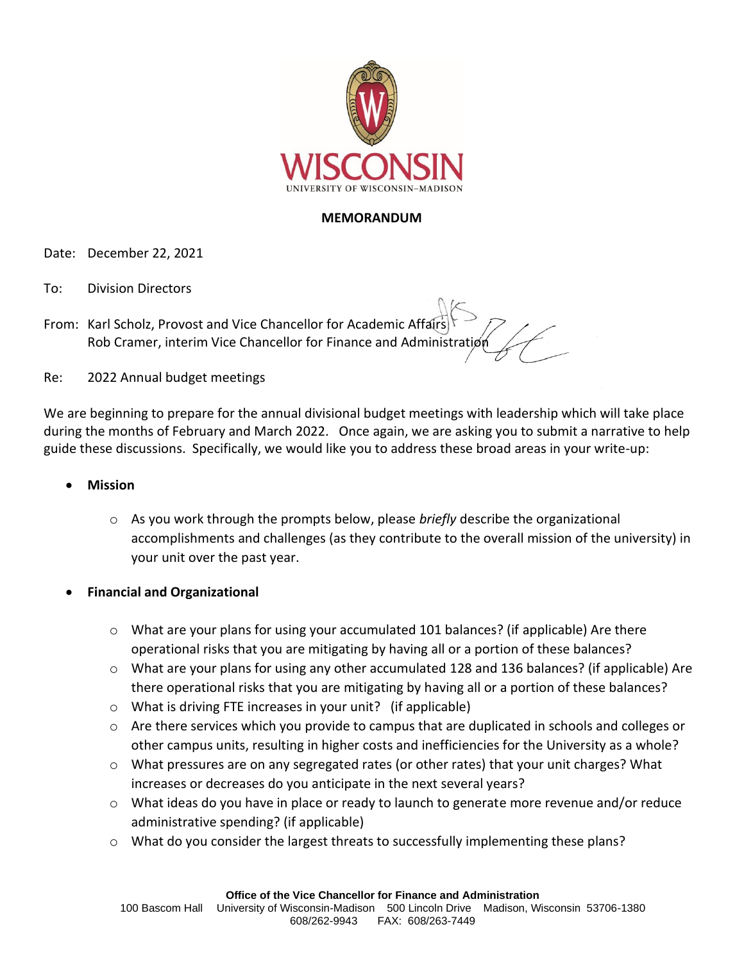

## **MEMORANDUM**

Date: December 22, 2021

- To: Division Directors
- From: Karl Scholz, Provost and Vice Chancellor for Academic Affairs Rob Cramer, interim Vice Chancellor for Finance and Administration
- Re: 2022 Annual budget meetings

We are beginning to prepare for the annual divisional budget meetings with leadership which will take place during the months of February and March 2022. Once again, we are asking you to submit a narrative to help guide these discussions. Specifically, we would like you to address these broad areas in your write-up:

- **Mission**
	- o As you work through the prompts below, please *briefly* describe the organizational accomplishments and challenges (as they contribute to the overall mission of the university) in your unit over the past year.
- **Financial and Organizational**
	- $\circ$  What are your plans for using your accumulated 101 balances? (if applicable) Are there operational risks that you are mitigating by having all or a portion of these balances?
	- $\circ$  What are your plans for using any other accumulated 128 and 136 balances? (if applicable) Are there operational risks that you are mitigating by having all or a portion of these balances?
	- o What is driving FTE increases in your unit? (if applicable)
	- $\circ$  Are there services which you provide to campus that are duplicated in schools and colleges or other campus units, resulting in higher costs and inefficiencies for the University as a whole?
	- $\circ$  What pressures are on any segregated rates (or other rates) that your unit charges? What increases or decreases do you anticipate in the next several years?
	- $\circ$  What ideas do you have in place or ready to launch to generate more revenue and/or reduce administrative spending? (if applicable)
	- o What do you consider the largest threats to successfully implementing these plans?